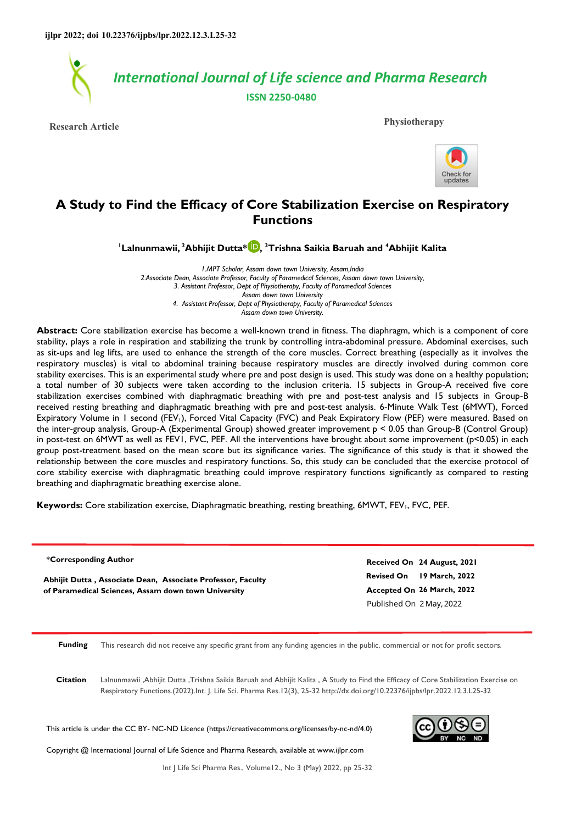

**Research Article Physiotherapy**



# **A Study to Find the Efficacy of Core Stabilization Exercise on Respiratory Functions**

**<sup>1</sup>Lalnunmawii,<sup>2</sup>Abhijit Dutta\* [,](https://orcid.org/0000-0002-0055-6696) <sup>3</sup>Trishna Saikia Baruah and <sup>4</sup>Abhijit Kalita** 

*1.MPT Scholar, Assam down town University, Assam,India 2.Associate Dean, Associate Professor, Faculty of Paramedical Sciences, Assam down town University, 3. Assistant Professor, Dept of Physiotherapy, Faculty of Paramedical Sciences Assam down town University 4. Assistant Professor, Dept of Physiotherapy, Faculty of Paramedical Sciences Assam down town University.* 

**Abstract:** Core stabilization exercise has become a well-known trend in fitness. The diaphragm, which is a component of core stability, plays a role in respiration and stabilizing the trunk by controlling intra-abdominal pressure. Abdominal exercises, such as sit-ups and leg lifts, are used to enhance the strength of the core muscles. Correct breathing (especially as it involves the respiratory muscles) is vital to abdominal training because respiratory muscles are directly involved during common core stability exercises. This is an experimental study where pre and post design is used. This study was done on a healthy population; a total number of 30 subjects were taken according to the inclusion criteria. 15 subjects in Group-A received five core stabilization exercises combined with diaphragmatic breathing with pre and post-test analysis and 15 subjects in Group-B received resting breathing and diaphragmatic breathing with pre and post-test analysis. 6-Minute Walk Test (6MWT), Forced Expiratory Volume in 1 second (FEV<sub>1</sub>), Forced Vital Capacity (FVC) and Peak Expiratory Flow (PEF) were measured. Based on the inter-group analysis, Group-A (Experimental Group) showed greater improvement p < 0.05 than Group-B (Control Group) in post-test on 6MWT as well as FEV1, FVC, PEF. All the interventions have brought about some improvement (p<0.05) in each group post-treatment based on the mean score but its significance varies. The significance of this study is that it showed the relationship between the core muscles and respiratory functions. So, this study can be concluded that the exercise protocol of core stability exercise with diaphragmatic breathing could improve respiratory functions significantly as compared to resting breathing and diaphragmatic breathing exercise alone.

Keywords: Core stabilization exercise, Diaphragmatic breathing, resting breathing, 6MWT, FEV<sub>I</sub>, FVC, PEF.

**\*Corresponding Author**

**Abhijit Dutta , Associate Dean, Associate Professor, Faculty of Paramedical Sciences, Assam down town University**

**Revised On 19 March, 2022 Accepted On 26 March, 2022 Received On 24 August, 2021** Published On 2 May,2022

**Funding** This research did not receive any specific grant from any funding agencies in the public, commercial or not for profit sectors.

**Citation** Lalnunmawii ,Abhijit Dutta ,Trishna Saikia Baruah and Abhijit Kalita , A Study to Find the Efficacy of Core Stabilization Exercise on Respiratory Functions.(2022).Int. J. Life Sci. Pharma Res.12(3), 25-32 http://dx.doi.org/10.22376/ijpbs/lpr.2022.12.3.L25-32

This article is under the CC BY- NC-ND Licence (https://creativecommons.org/licenses/by-nc-nd/4.0)

Copyright @ International Journal of Life Science and Pharma Research, available at www.ijlpr.com



Int J Life Sci Pharma Res., Volume12., No 3 (May) 2022, pp 25-32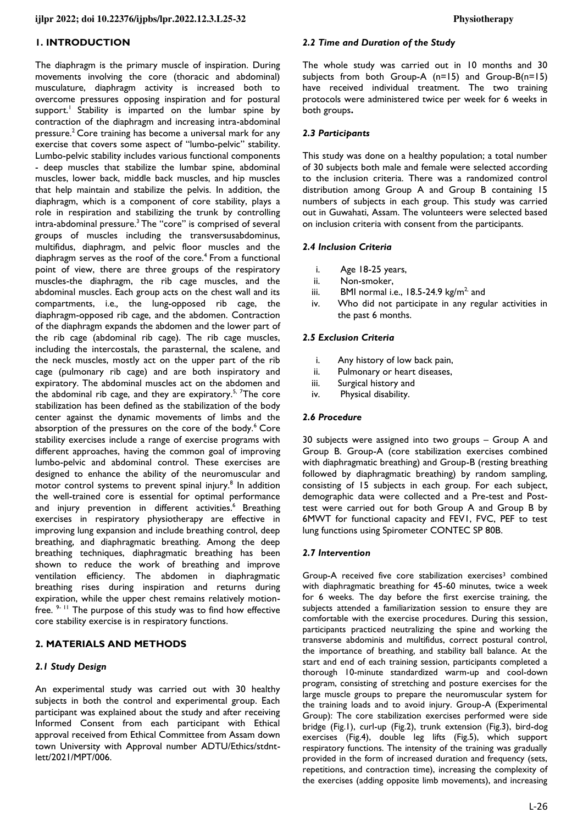# **1. INTRODUCTION**

The diaphragm is the primary muscle of inspiration. During movements involving the core (thoracic and abdominal) musculature, diaphragm activity is increased both to overcome pressures opposing inspiration and for postural support.<sup>1</sup> Stability is imparted on the lumbar spine by contraction of the diaphragm and increasing intra-abdominal pressure.<sup>2</sup> Core training has become a universal mark for any exercise that covers some aspect of "lumbo-pelvic" stability. Lumbo-pelvic stability includes various functional components - deep muscles that stabilize the lumbar spine, abdominal muscles, lower back, middle back muscles, and hip muscles that help maintain and stabilize the pelvis. In addition, the diaphragm, which is a component of core stability, plays a role in respiration and stabilizing the trunk by controlling intra-abdominal pressure.<sup>3</sup> The "core" is comprised of several groups of muscles including the transversusabdominus, multifidus, diaphragm, and pelvic floor muscles and the diaphragm serves as the roof of the core.<sup>4</sup> From a functional point of view, there are three groups of the respiratory muscles-the diaphragm, the rib cage muscles, and the abdominal muscles. Each group acts on the chest wall and its compartments, i.e*.,* the lung-opposed rib cage, the diaphragm-opposed rib cage, and the abdomen. Contraction of the diaphragm expands the abdomen and the lower part of the rib cage (abdominal rib cage). The rib cage muscles, including the intercostals, the parasternal, the scalene, and the neck muscles, mostly act on the upper part of the rib cage (pulmonary rib cage) and are both inspiratory and expiratory. The abdominal muscles act on the abdomen and the abdominal rib cage, and they are expiratory.<sup>5, 7</sup>The core stabilization has been defined as the stabilization of the body center against the dynamic movements of limbs and the absorption of the pressures on the core of the body.<sup>6</sup> Core stability exercises include a range of exercise programs with different approaches, having the common goal of improving lumbo-pelvic and abdominal control. These exercises are designed to enhance the ability of the neuromuscular and motor control systems to prevent spinal injury.<sup>8</sup> In addition the well-trained core is essential for optimal performance and injury prevention in different activities.<sup>6</sup> Breathing exercises in respiratory physiotherapy are effective in improving lung expansion and include breathing control, deep breathing, and diaphragmatic breathing. Among the deep breathing techniques, diaphragmatic breathing has been shown to reduce the work of breathing and improve ventilation efficiency. The abdomen in diaphragmatic breathing rises during inspiration and returns during expiration, while the upper chest remains relatively motionfree.  $9 - 11$  The purpose of this study was to find how effective core stability exercise is in respiratory functions.

### **2. MATERIALS AND METHODS**

### *2.1 Study Design*

An experimental study was carried out with 30 healthy subjects in both the control and experimental group. Each participant was explained about the study and after receiving Informed Consent from each participant with Ethical approval received from Ethical Committee from Assam down town University with Approval number ADTU/Ethics/stdntlett/2021/MPT/006.

### *2.2 Time and Duration of the Study*

The whole study was carried out in 10 months and 30 subjects from both Group-A (n=15) and Group-B(n=15) have received individual treatment. The two training protocols were administered twice per week for 6 weeks in both groups**.** 

### *2.3 Participants*

This study was done on a healthy population; a total number of 30 subjects both male and female were selected according to the inclusion criteria. There was a randomized control distribution among Group A and Group B containing 15 numbers of subjects in each group. This study was carried out in Guwahati, Assam. The volunteers were selected based on inclusion criteria with consent from the participants.

### *2.4 Inclusion Criteria*

- i. Age 18-25 years,
- ii. Non-smoker,
- iii. BMI normal i.e.,  $18.5-24.9$  kg/m<sup>2,</sup> and
- iv. Who did not participate in any regular activities in the past 6 months.

### *2.5 Exclusion Criteria*

- i. Any history of low back pain,
- ii. Pulmonary or heart diseases,
- iii. Surgical history and
- iv. Physical disability.

### *2.6 Procedure*

30 subjects were assigned into two groups – Group A and Group B. Group-A (core stabilization exercises combined with diaphragmatic breathing) and Group-B (resting breathing followed by diaphragmatic breathing) by random sampling, consisting of 15 subjects in each group. For each subject, demographic data were collected and a Pre-test and Posttest were carried out for both Group A and Group B by 6MWT for functional capacity and FEV1, FVC, PEF to test lung functions using Spirometer CONTEC SP 80B.

### *2.7 Intervention*

Group-A received five core stabilization exercises<sup>3</sup> combined with diaphragmatic breathing for 45-60 minutes, twice a week for 6 weeks. The day before the first exercise training, the subjects attended a familiarization session to ensure they are comfortable with the exercise procedures. During this session, participants practiced neutralizing the spine and working the transverse abdominis and multifidus, correct postural control, the importance of breathing, and stability ball balance. At the start and end of each training session, participants completed a thorough 10-minute standardized warm-up and cool-down program, consisting of stretching and posture exercises for the large muscle groups to prepare the neuromuscular system for the training loads and to avoid injury. Group-A (Experimental Group): The core stabilization exercises performed were side bridge (Fig.1), curl-up (Fig.2), trunk extension (Fig.3), bird-dog exercises (Fig.4), double leg lifts (Fig.5), which support respiratory functions. The intensity of the training was gradually provided in the form of increased duration and frequency (sets, repetitions, and contraction time), increasing the complexity of the exercises (adding opposite limb movements), and increasing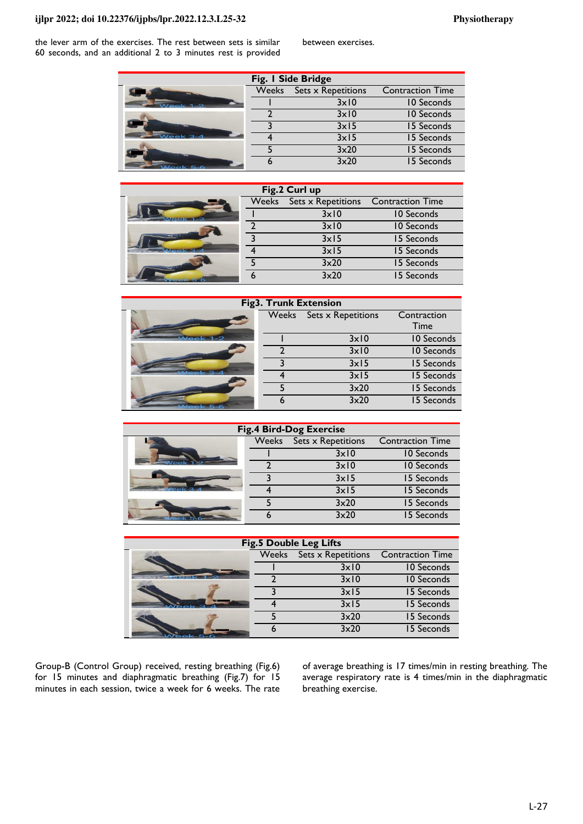### **ijlpr 2022; doi 10.22376/ijpbs/lpr.2022.12.3.L25-32 Physiotherapy**

the lever arm of the exercises. The rest between sets is similar 60 seconds, and an additional 2 to 3 minutes rest is provided

| Fig. I Side Bridge |              |                    |                         |  |  |  |  |  |  |
|--------------------|--------------|--------------------|-------------------------|--|--|--|--|--|--|
|                    | <b>Weeks</b> | Sets x Repetitions | <b>Contraction Time</b> |  |  |  |  |  |  |
|                    |              | $3 \times 10$      | 10 Seconds              |  |  |  |  |  |  |
|                    |              | $3 \times 10$      | 10 Seconds              |  |  |  |  |  |  |
|                    |              | 3x15               | 15 Seconds              |  |  |  |  |  |  |
| $Nee$ k 3-4        |              | 3x15               | 15 Seconds              |  |  |  |  |  |  |
|                    |              | $3\times20$        | 15 Seconds              |  |  |  |  |  |  |
| Week 5-6           |              | $3\times20$        | 15 Seconds              |  |  |  |  |  |  |

| Fig.2 Curl up                   |              |                    |                         |  |  |  |  |  |
|---------------------------------|--------------|--------------------|-------------------------|--|--|--|--|--|
|                                 | <b>Weeks</b> | Sets x Repetitions | <b>Contraction Time</b> |  |  |  |  |  |
| <b>Contract of the American</b> |              | 3x10               | 10 Seconds              |  |  |  |  |  |
|                                 |              | $3 \times 10$      | 10 Seconds              |  |  |  |  |  |
|                                 |              | 3x15               | 15 Seconds              |  |  |  |  |  |
|                                 |              | 3x15               | 15 Seconds              |  |  |  |  |  |
|                                 |              | 3x20               | 15 Seconds              |  |  |  |  |  |
|                                 |              | $3\times20$        | 15 Seconds              |  |  |  |  |  |

| <b>Fig3. Trunk Extension</b> |       |                           |                   |  |  |  |  |  |
|------------------------------|-------|---------------------------|-------------------|--|--|--|--|--|
|                              | Weeks | <b>Sets x Repetitions</b> | Contraction       |  |  |  |  |  |
|                              |       |                           | Time              |  |  |  |  |  |
| $I$ gak 1.2                  |       | $3 \times 10$             | <b>10 Seconds</b> |  |  |  |  |  |
|                              |       | $3 \times 10$             | 10 Seconds        |  |  |  |  |  |
|                              |       | $3 \times 15$             | 15 Seconds        |  |  |  |  |  |
|                              |       | $3 \times 15$             | 15 Seconds        |  |  |  |  |  |
|                              |       | 3x20                      | 15 Seconds        |  |  |  |  |  |
|                              |       | $3\times20$               | 15 Seconds        |  |  |  |  |  |

| <b>Fig.4 Bird-Dog Exercise</b> |       |                    |                         |  |  |  |  |  |  |
|--------------------------------|-------|--------------------|-------------------------|--|--|--|--|--|--|
|                                | Weeks | Sets x Repetitions | <b>Contraction Time</b> |  |  |  |  |  |  |
|                                |       | $3 \times 10$      | 10 Seconds              |  |  |  |  |  |  |
|                                |       | $3 \times 10$      | 10 Seconds              |  |  |  |  |  |  |
|                                |       | 3x15               | 15 Seconds              |  |  |  |  |  |  |
|                                |       | 3x15               | 15 Seconds              |  |  |  |  |  |  |
|                                |       | 3x20               | 15 Seconds              |  |  |  |  |  |  |
|                                |       | 3x20               | 15 Seconds              |  |  |  |  |  |  |
|                                |       |                    |                         |  |  |  |  |  |  |

| <b>Fig.5 Double Leg Lifts</b> |  |                          |                         |  |  |  |  |  |  |
|-------------------------------|--|--------------------------|-------------------------|--|--|--|--|--|--|
|                               |  | Weeks Sets x Repetitions | <b>Contraction Time</b> |  |  |  |  |  |  |
|                               |  | $3 \times 10$            | 10 Seconds              |  |  |  |  |  |  |
|                               |  | $3 \times 10$            | 10 Seconds              |  |  |  |  |  |  |
|                               |  | $3 \times 15$            | 15 Seconds              |  |  |  |  |  |  |
|                               |  | $3 \times 15$            | 15 Seconds              |  |  |  |  |  |  |
|                               |  | 3x20                     | 15 Seconds              |  |  |  |  |  |  |
|                               |  | 3x20                     | 15 Seconds              |  |  |  |  |  |  |

Group-B (Control Group) received, resting breathing (Fig.6) for 15 minutes and diaphragmatic breathing (Fig.7) for 15 minutes in each session, twice a week for 6 weeks. The rate of average breathing is 17 times/min in resting breathing. The average respiratory rate is 4 times/min in the diaphragmatic breathing exercise.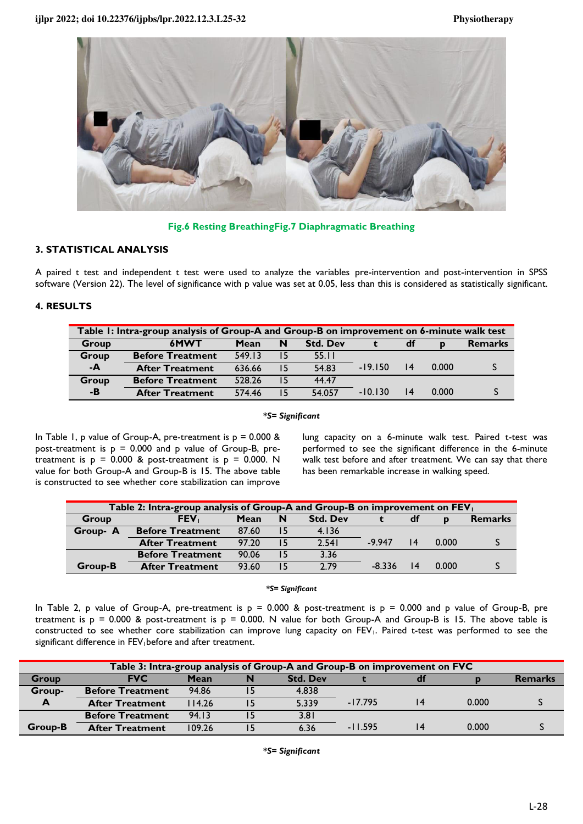

**Fig.6 Resting BreathingFig.7 Diaphragmatic Breathing**

# **3. STATISTICAL ANALYSIS**

A paired t test and independent t test were used to analyze the variables pre-intervention and post-intervention in SPSS software (Version 22). The level of significance with p value was set at 0.05, less than this is considered as statistically significant.

# **4. RESULTS**

| Table 1: Intra-group analysis of Group-A and Group-B on improvement on 6-minute walk test |                         |        |    |                 |           |    |              |                |
|-------------------------------------------------------------------------------------------|-------------------------|--------|----|-----------------|-----------|----|--------------|----------------|
| Group                                                                                     | 6MWT                    | Mean   | N  | <b>Std. Dev</b> |           | df | $\mathbf{D}$ | <b>Remarks</b> |
| Group                                                                                     | <b>Before Treatment</b> | 549.13 | 15 | 55.11           |           |    |              |                |
| $-A$                                                                                      | <b>After Treatment</b>  | 636.66 | 15 | 54.83           | $-19.150$ | 4  | 0.000        |                |
| Group                                                                                     | <b>Before Treatment</b> | 528.26 | 15 | 44.47           |           |    |              |                |
| $-B$                                                                                      | <b>After Treatment</b>  | 574.46 | 15 | 54.057          | $-10.130$ |    | 0.000        |                |

*\*S= Significant* 

In Table 1, p value of Group-A, pre-treatment is  $p = 0.000$  & post-treatment is  $p = 0.000$  and p value of Group-B, pretreatment is  $p = 0.000$  & post-treatment is  $p = 0.000$ . N value for both Group-A and Group-B is 15. The above table is constructed to see whether core stabilization can improve

lung capacity on a 6-minute walk test. Paired t-test was performed to see the significant difference in the 6-minute walk test before and after treatment. We can say that there has been remarkable increase in walking speed.

| Table 2: Intra-group analysis of Group-A and Group-B on improvement on FEV <sub>1</sub> |                                                                          |       |    |       |          |                 |       |  |  |
|-----------------------------------------------------------------------------------------|--------------------------------------------------------------------------|-------|----|-------|----------|-----------------|-------|--|--|
| Group                                                                                   | FEV <sub>1</sub><br><b>Std. Dev</b><br>Mean<br>N<br><b>Remarks</b><br>df |       |    |       |          |                 |       |  |  |
| Group- A                                                                                | <b>Before Treatment</b>                                                  | 87.60 | 15 | 4.136 |          |                 |       |  |  |
|                                                                                         | <b>After Treatment</b>                                                   | 97.20 |    | 2.541 | $-9947$  | 4               | 0.000 |  |  |
|                                                                                         | <b>Before Treatment</b>                                                  | 90.06 | 15 | 3.36  |          |                 |       |  |  |
| Group-B                                                                                 | <b>After Treatment</b>                                                   | 93.60 | 15 | 2.79  | $-8.336$ | $\overline{14}$ | 0.000 |  |  |

### *\*S= Significant*

In Table 2, p value of Group-A, pre-treatment is  $p = 0.000$  & post-treatment is  $p = 0.000$  and p value of Group-B, pre treatment is  $p = 0.000$  & post-treatment is  $p = 0.000$ . N value for both Group-A and Group-B is 15. The above table is constructed to see whether core stabilization can improve lung capacity on FEV<sub>1</sub>. Paired t-test was performed to see the significant difference in FEV<sub>1</sub>before and after treatment.

| Table 3: Intra-group analysis of Group-A and Group-B on improvement on FVC |                         |        |    |                 |           |  |       |                |
|----------------------------------------------------------------------------|-------------------------|--------|----|-----------------|-----------|--|-------|----------------|
| Group                                                                      | <b>FVC</b>              | Mean   | N  | <b>Std. Dev</b> |           |  |       | <b>Remarks</b> |
| Group-                                                                     | <b>Before Treatment</b> | 94.86  |    | 4.838           |           |  |       |                |
| $\mathbf{A}$                                                               | <b>After Treatment</b>  | 114.26 | 15 | 5.339           | $-17.795$ |  | 0.000 |                |
|                                                                            | <b>Before Treatment</b> | 94.13  |    | 3.81            |           |  |       |                |
| Group-B                                                                    | <b>After Treatment</b>  | 109.26 |    | 6.36            | $-11.595$ |  | 0.000 |                |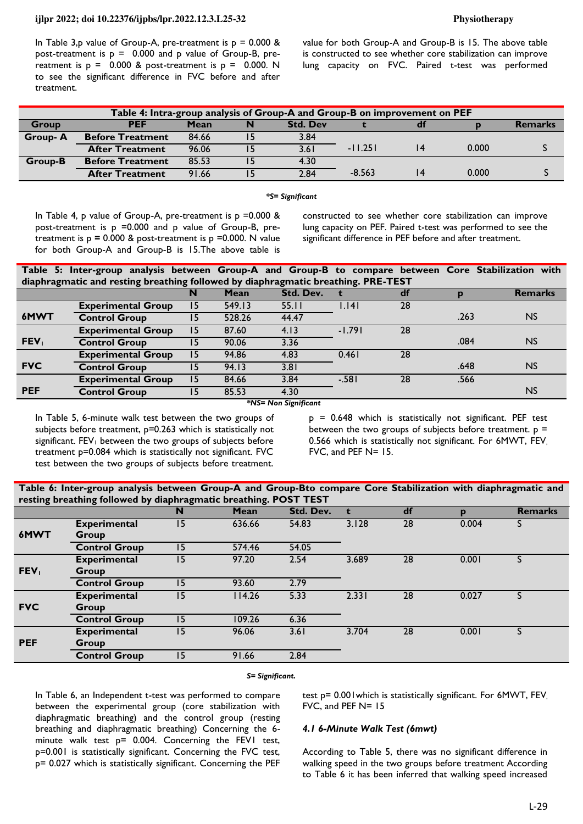### **ijlpr 2022; doi 10.22376/ijpbs/lpr.2022.12.3.L25-32 Physiotherapy**

In Table 3,p value of Group-A, pre-treatment is  $p = 0.000$  & post-treatment is  $p = 0.000$  and p value of Group-B, prereatment is  $p = 0.000$  & post-treatment is  $p = 0.000$ . N to see the significant difference in FVC before and after treatment.

value for both Group-A and Group-B is 15. The above table is constructed to see whether core stabilization can improve lung capacity on FVC. Paired t-test was performed

| Table 4: Intra-group analysis of Group-A and Group-B on improvement on PEF |                         |       |   |                 |           |  |       |                |
|----------------------------------------------------------------------------|-------------------------|-------|---|-----------------|-----------|--|-------|----------------|
| <b>Group</b>                                                               | <b>PEF</b>              | Mean  | N | <b>Std. Dev</b> |           |  |       | <b>Remarks</b> |
| <b>Group-A</b>                                                             | <b>Before Treatment</b> | 84.66 |   | 3.84            |           |  |       |                |
|                                                                            | <b>After Treatment</b>  | 96.06 |   | 3.61            | $-11.251$ |  | 0.000 |                |
| Group-B                                                                    | <b>Before Treatment</b> | 85.53 |   | 4.30            |           |  |       |                |
|                                                                            | <b>After Treatment</b>  | 91.66 |   | 2.84            | $-8.563$  |  | 0.000 |                |

### *\*S= Significant*

In Table 4, p value of Group-A, pre-treatment is  $p = 0.000$  & post-treatment is p =0.000 and p value of Group-B, pretreatment is  $p = 0.000$  & post-treatment is  $p = 0.000$ . N value for both Group-A and Group-B is 15.The above table is

constructed to see whether core stabilization can improve lung capacity on PEF. Paired t-test was performed to see the significant difference in PEF before and after treatment.

| Table 5: Inter-group analysis between Group-A and Group-B to compare between Core Stabilization with |             |           |  |  |         |
|------------------------------------------------------------------------------------------------------|-------------|-----------|--|--|---------|
| diaphragmatic and resting breathing followed by diaphragmatic breathing. PRE-TEST                    |             |           |  |  |         |
|                                                                                                      | <b>Mean</b> | Std Dev t |  |  | Remarks |

|                  |                           | N   | Mean   | Std. Dev. |          | df |      | <b>Remarks</b> |
|------------------|---------------------------|-----|--------|-----------|----------|----|------|----------------|
|                  | <b>Experimental Group</b> | 15  | 549.13 | 55.11     | 1.141    | 28 |      |                |
| 6MWT             | <b>Control Group</b>      | 15  | 528.26 | 44.47     |          |    | .263 | <b>NS</b>      |
|                  | <b>Experimental Group</b> | 15  | 87.60  | 4.13      | $-1.791$ | 28 |      |                |
| FEV <sub>1</sub> | <b>Control Group</b>      | 15. | 90.06  | 3.36      |          |    | .084 | N <sub>S</sub> |
|                  | <b>Experimental Group</b> | 15  | 94.86  | 4.83      | 0.461    | 28 |      |                |
| <b>FVC</b>       | <b>Control Group</b>      | 15  | 94.13  | 3.81      |          |    | .648 | <b>NS</b>      |
|                  | <b>Experimental Group</b> | 15  | 84.66  | 3.84      | $-.581$  | 28 | .566 |                |
| <b>PEF</b>       | <b>Control Group</b>      | 15  | 85.53  | 4.30      |          |    |      | N <sub>S</sub> |

*\*NS= Non Significant* 

In Table 5, 6-minute walk test between the two groups of subjects before treatment, p=0.263 which is statistically not significant.  $FEV<sub>1</sub>$  between the two groups of subjects before treatment p=0.084 which is statistically not significant. FVC test between the two groups of subjects before treatment.

p = 0.648 which is statistically not significant. PEF test between the two groups of subjects before treatment.  $p =$ 0.566 which is statistically not significant. For 6MWT, FEV, FVC, and PEF N= 15.

| Table 6: Inter-group analysis between Group-A and Group-Bto compare Core Stabilization with diaphragmatic and |  |  |
|---------------------------------------------------------------------------------------------------------------|--|--|
| resting breathing followed by diaphragmatic breathing. POST TEST                                              |  |  |

|                  |                      | N  | Mean   | Std. Dev. |       | df | n     | <b>Remarks</b> |
|------------------|----------------------|----|--------|-----------|-------|----|-------|----------------|
|                  | <b>Experimental</b>  | 15 | 636.66 | 54.83     | 3.128 | 28 | 0.004 |                |
| 6MWT             | Group                |    |        |           |       |    |       |                |
|                  | <b>Control Group</b> | 15 | 574.46 | 54.05     |       |    |       |                |
|                  | <b>Experimental</b>  | 15 | 97.20  | 2.54      | 3.689 | 28 | 0.001 |                |
| FEV <sub>1</sub> | Group                |    |        |           |       |    |       |                |
|                  | <b>Control Group</b> | 15 | 93.60  | 2.79      |       |    |       |                |
|                  | <b>Experimental</b>  | 15 | 14.26  | 5.33      | 2.331 | 28 | 0.027 |                |
| <b>FVC</b>       | Group                |    |        |           |       |    |       |                |
|                  | <b>Control Group</b> | 15 | 109.26 | 6.36      |       |    |       |                |
|                  | <b>Experimental</b>  | 15 | 96.06  | 3.61      | 3.704 | 28 | 0.001 |                |
| <b>PEF</b>       | Group                |    |        |           |       |    |       |                |
|                  | <b>Control Group</b> | 15 | 91.66  | 2.84      |       |    |       |                |

### *S= Significant.*

In Table 6, an Independent t-test was performed to compare between the experimental group (core stabilization with diaphragmatic breathing) and the control group (resting breathing and diaphragmatic breathing) Concerning the 6 minute walk test p= 0.004. Concerning the FEVI test, p=0.001 is statistically significant. Concerning the FVC test, p= 0.027 which is statistically significant. Concerning the PEF

test p= 0.001which is statistically significant. For 6MWT, FEV, FVC, and PEF N= 15

### *4.1 6-Minute Walk Test (6mwt)*

According to Table 5, there was no significant difference in walking speed in the two groups before treatment According to Table 6 it has been inferred that walking speed increased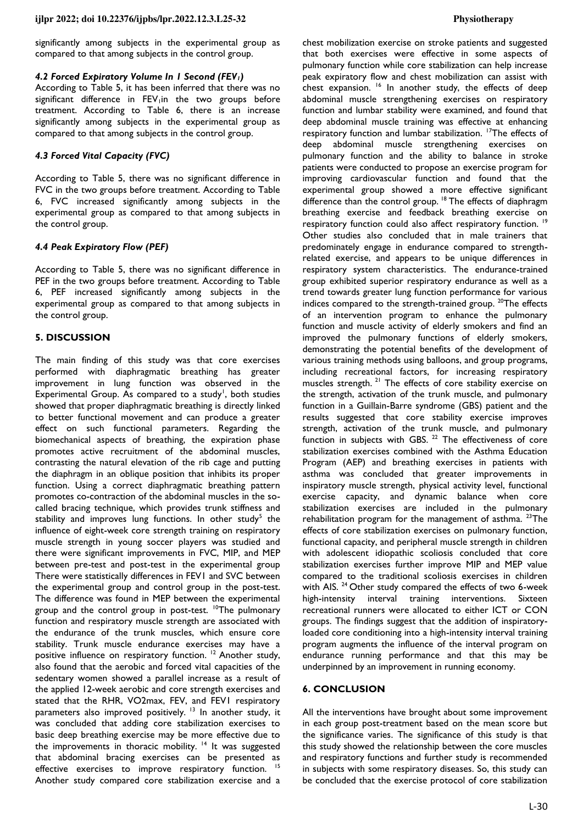significantly among subjects in the experimental group as compared to that among subjects in the control group.

### *4.2 Forced Expiratory Volume In 1 Second (FEV1)*

According to Table 5, it has been inferred that there was no significant difference in FEV<sub>1</sub>in the two groups before treatment. According to Table 6, there is an increase significantly among subjects in the experimental group as compared to that among subjects in the control group.

# *4.3 Forced Vital Capacity (FVC)*

According to Table 5, there was no significant difference in FVC in the two groups before treatment. According to Table 6, FVC increased significantly among subjects in the experimental group as compared to that among subjects in the control group.

### *4.4 Peak Expiratory Flow (PEF)*

According to Table 5, there was no significant difference in PEF in the two groups before treatment. According to Table 6, PEF increased significantly among subjects in the experimental group as compared to that among subjects in the control group.

### **5. DISCUSSION**

The main finding of this study was that core exercises performed with diaphragmatic breathing has greater improvement in lung function was observed in the Experimental Group. As compared to a study<sup>1</sup>, both studies showed that proper diaphragmatic breathing is directly linked to better functional movement and can produce a greater effect on such functional parameters. Regarding the biomechanical aspects of breathing, the expiration phase promotes active recruitment of the abdominal muscles, contrasting the natural elevation of the rib cage and putting the diaphragm in an oblique position that inhibits its proper function. Using a correct diaphragmatic breathing pattern promotes co-contraction of the abdominal muscles in the socalled bracing technique, which provides trunk stiffness and stability and improves lung functions. In other study<sup>5</sup> the influence of eight-week core strength training on respiratory muscle strength in young soccer players was studied and there were significant improvements in FVC, MIP, and MEP between pre-test and post-test in the experimental group There were statistically differences in FEV1 and SVC between the experimental group and control group in the post-test. The difference was found in MEP between the experimental group and the control group in post-test. <sup>10</sup>The pulmonary function and respiratory muscle strength are associated with the endurance of the trunk muscles, which ensure core stability. Trunk muscle endurance exercises may have a positive influence on respiratory function.<sup>12</sup> Another study, also found that the aerobic and forced vital capacities of the sedentary women showed a parallel increase as a result of the applied 12-week aerobic and core strength exercises and stated that the RHR, VO2max, FEV, and FEV1 respiratory parameters also improved positively.<sup>13</sup> In another study, it was concluded that adding core stabilization exercises to basic deep breathing exercise may be more effective due to the improvements in thoracic mobility.<sup>14</sup> It was suggested that abdominal bracing exercises can be presented as effective exercises to improve respiratory function.<sup>15</sup> Another study compared core stabilization exercise and a

chest mobilization exercise on stroke patients and suggested that both exercises were effective in some aspects of pulmonary function while core stabilization can help increase peak expiratory flow and chest mobilization can assist with chest expansion.<sup>16</sup> In another study, the effects of deep abdominal muscle strengthening exercises on respiratory function and lumbar stability were examined, and found that deep abdominal muscle training was effective at enhancing respiratory function and lumbar stabilization. <sup>17</sup>The effects of deep abdominal muscle strengthening exercises on pulmonary function and the ability to balance in stroke patients were conducted to propose an exercise program for improving cardiovascular function and found that the experimental group showed a more effective significant difference than the control group.<sup>18</sup> The effects of diaphragm breathing exercise and feedback breathing exercise on respiratory function could also affect respiratory function.<sup>19</sup> Other studies also concluded that in male trainers that predominately engage in endurance compared to strengthrelated exercise, and appears to be unique differences in respiratory system characteristics. The endurance-trained group exhibited superior respiratory endurance as well as a trend towards greater lung function performance for various indices compared to the strength-trained group.  $^{20}$ The effects of an intervention program to enhance the pulmonary function and muscle activity of elderly smokers and find an improved the pulmonary functions of elderly smokers, demonstrating the potential benefits of the development of various training methods using balloons, and group programs, including recreational factors, for increasing respiratory muscles strength.<sup>21</sup> The effects of core stability exercise on the strength, activation of the trunk muscle, and pulmonary function in a Guillain-Barre syndrome (GBS) patient and the results suggested that core stability exercise improves strength, activation of the trunk muscle, and pulmonary function in subjects with GBS.<sup>22</sup> The effectiveness of core stabilization exercises combined with the Asthma Education Program (AEP) and breathing exercises in patients with asthma was concluded that greater improvements in inspiratory muscle strength, physical activity level, functional exercise capacity, and dynamic balance when core stabilization exercises are included in the pulmonary rehabilitation program for the management of asthma.  $23$ The effects of core stabilization exercises on pulmonary function, functional capacity, and peripheral muscle strength in children with adolescent idiopathic scoliosis concluded that core stabilization exercises further improve MIP and MEP value compared to the traditional scoliosis exercises in children with AIS. <sup>24</sup> Other study compared the effects of two 6-week high-intensity interval training interventions. Sixteen recreational runners were allocated to either ICT or CON groups. The findings suggest that the addition of inspiratoryloaded core conditioning into a high-intensity interval training program augments the influence of the interval program on endurance running performance and that this may be underpinned by an improvement in running economy.

### **6. CONCLUSION**

All the interventions have brought about some improvement in each group post-treatment based on the mean score but the significance varies. The significance of this study is that this study showed the relationship between the core muscles and respiratory functions and further study is recommended in subjects with some respiratory diseases. So, this study can be concluded that the exercise protocol of core stabilization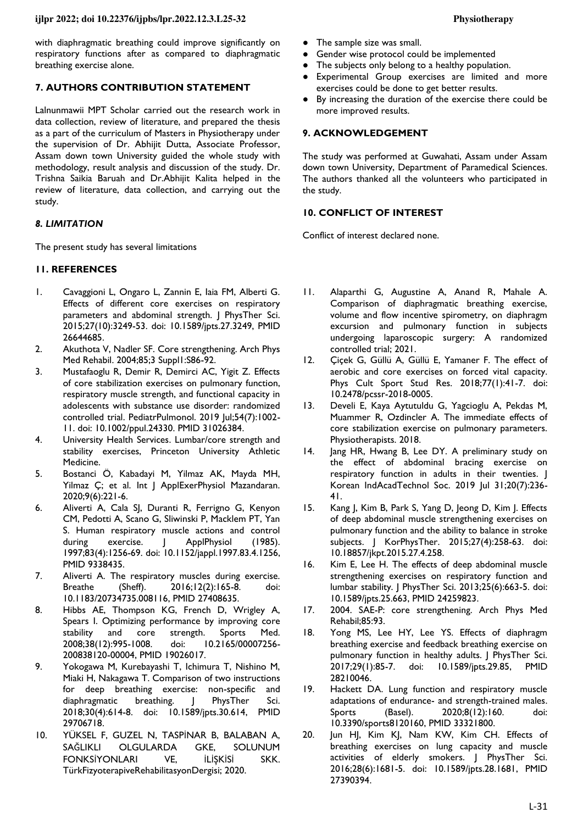with diaphragmatic breathing could improve significantly on respiratory functions after as compared to diaphragmatic breathing exercise alone.

# **7. AUTHORS CONTRIBUTION STATEMENT**

Lalnunmawii MPT Scholar carried out the research work in data collection, review of literature, and prepared the thesis as a part of the curriculum of Masters in Physiotherapy under the supervision of Dr. Abhijit Dutta, Associate Professor, Assam down town University guided the whole study with methodology, result analysis and discussion of the study. Dr. Trishna Saikia Baruah and Dr.Abhijit Kalita helped in the review of literature, data collection, and carrying out the study.

### *8. LIMITATION*

The present study has several limitations

### **11. REFERENCES**

- 1. Cavaggioni L, Ongaro L, Zannin E, Iaia FM, Alberti G. Effects of different core exercises on respiratory parameters and abdominal strength. J PhysTher Sci. 2015;27(10):3249-53. doi: [10.1589/jpts.27.3249,](https://doi.org/10.1589/jpts.27.3249) PMID [26644685.](https://www.ncbi.nlm.nih.gov/pubmed/26644685)
- 2. Akuthota V, Nadler SF. Core strengthening. Arch Phys Med Rehabil. 2004;85;3 Suppl1:S86-92.
- 3. Mustafaoglu R, Demir R, Demirci AC, Yigit Z. Effects of core stabilization exercises on pulmonary function, respiratory muscle strength, and functional capacity in adolescents with substance use disorder: randomized controlled trial. PediatrPulmonol. 2019 Jul;54(7):1002- 11. doi: [10.1002/ppul.24330.](https://doi.org/10.1002/ppul.24330) PMID [31026384.](http://www.ncbi.nlm.nih.gov/pubmed/31026384)
- 4. University Health Services. Lumbar/core strength and stability exercises, Princeton University Athletic Medicine.
- 5. Bostanci Ö, Kabadayi M, Yilmaz AK, Mayda MH, Yilmaz Ç; et al. Int J ApplExerPhysiol Mazandaran. 2020;9(6):221-6.
- 6. Aliverti A, Cala SJ, Duranti R, Ferrigno G, Kenyon CM, Pedotti A, Scano G, Sliwinski P, Macklem PT, Yan S. Human respiratory muscle actions and control during exercise. | ApplPhysiol (1985). 1997;83(4):1256-69. doi: [10.1152/jappl.1997.83.4.1256,](https://doi.org/10.1152/jappl.1997.83.4.1256) PMID [9338435.](https://www.ncbi.nlm.nih.gov/pubmed/9338435)
- 7. Aliverti A. The respiratory muscles during exercise. Breathe (Sheff). 2016;12(2):165-8. doi: [10.1183/20734735.008116,](https://doi.org/10.1183/20734735.008116) PMID [27408635.](https://www.ncbi.nlm.nih.gov/pubmed/27408635)
- 8. Hibbs AE, Thompson KG, French D, Wrigley A, Spears I. Optimizing performance by improving core stability and core strength. Sports Med. 2008;38(12):995-1008. doi: [10.2165/00007256-](https://doi.org/10.2165/00007256-200838120-00004) [200838120-00004,](https://doi.org/10.2165/00007256-200838120-00004) PMID [19026017.](https://www.ncbi.nlm.nih.gov/pubmed/19026017)
- 9. Yokogawa M, Kurebayashi T, Ichimura T, Nishino M, Miaki H, Nakagawa T. Comparison of two instructions for deep breathing exercise: non-specific and diaphragmatic breathing. J PhysTher Sci. 2018;30(4):614-8. doi: [10.1589/jpts.30.614,](https://doi.org/10.1589/jpts.30.614) PMID [29706718.](https://www.ncbi.nlm.nih.gov/pubmed/29706718)
- 10. YÜKSEL F, GUZEL N, TASPİNAR B, BALABAN A, SAĞLIKLI OLGULARDA GKE, SOLUNUM FONKSİYONLARI VE, İLİŞKİSİ SKK. TürkFizyoterapiveRehabilitasyonDergisi; 2020.
- The sample size was small.
- Gender wise protocol could be implemented
- The subjects only belong to a healthy population.
- Experimental Group exercises are limited and more exercises could be done to get better results.
- By increasing the duration of the exercise there could be more improved results.

### **9. ACKNOWLEDGEMENT**

The study was performed at Guwahati, Assam under Assam down town University, Department of Paramedical Sciences. The authors thanked all the volunteers who participated in the study.

### **10. CONFLICT OF INTEREST**

Conflict of interest declared none.

- 11. Alaparthi G, Augustine A, Anand R, Mahale A. Comparison of diaphragmatic breathing exercise, volume and flow incentive spirometry, on diaphragm excursion and pulmonary function in subjects undergoing laparoscopic surgery: A randomized controlled trial; 2021.
- 12. Cicek G, Güllü A, Güllü E, Yamaner F. The effect of aerobic and core exercises on forced vital capacity. Phys Cult Sport Stud Res. 2018;77(1):41-7. doi: [10.2478/pcssr-2018-0005.](https://doi.org/10.2478/pcssr-2018-0005)
- 13. Develi E, Kaya Aytutuldu G, Yagcioglu A, Pekdas M, Muammer R, Ozdincler A. The immediate effects of core stabilization exercise on pulmonary parameters. Physiotherapists. 2018.
- 14. Jang HR, Hwang B, Lee DY. A preliminary study on the effect of abdominal bracing exercise on respiratory function in adults in their twenties. J Korean IndAcadTechnol Soc. 2019 Jul 31;20(7):236- 41.
- 15. Kang J, Kim B, Park S, Yang D, Jeong D, Kim J. Effects of deep abdominal muscle strengthening exercises on pulmonary function and the ability to balance in stroke subjects. J KorPhysTher. 2015;27(4):258-63. doi: [10.18857/jkpt.2015.27.4.258.](https://doi.org/10.18857/jkpt.2015.27.4.258)
- 16. Kim E, Lee H. The effects of deep abdominal muscle strengthening exercises on respiratory function and lumbar stability. J PhysTher Sci. 2013;25(6):663-5. doi: [10.1589/jpts.25.663,](https://doi.org/10.1589/jpts.25.663) PMID [24259823.](https://www.ncbi.nlm.nih.gov/pubmed/24259823)
- 17. 2004. SAE-P: core strengthening. Arch Phys Med Rehabil;85:93.
- 18. Yong MS, Lee HY, Lee YS. Effects of diaphragm breathing exercise and feedback breathing exercise on pulmonary function in healthy adults. J PhysTher Sci. 2017;29(1):85-7. doi: [10.1589/jpts.29.85,](https://doi.org/10.1589/jpts.29.85) PMID [28210046.](https://www.ncbi.nlm.nih.gov/pubmed/28210046)
- 19. Hackett DA. Lung function and respiratory muscle adaptations of endurance- and strength-trained males. Sports (Basel). 2020;8(12):160. doi: [10.3390/sports8120160,](https://doi.org/10.3390/sports8120160) PMID [33321800.](https://www.ncbi.nlm.nih.gov/pubmed/33321800)
- 20. Jun HJ, Kim KJ, Nam KW, Kim CH. Effects of breathing exercises on lung capacity and muscle activities of elderly smokers. J PhysTher Sci. 2016;28(6):1681-5. doi: [10.1589/jpts.28.1681,](https://doi.org/10.1589/jpts.28.1681) PMID [27390394.](https://www.ncbi.nlm.nih.gov/pubmed/27390394)